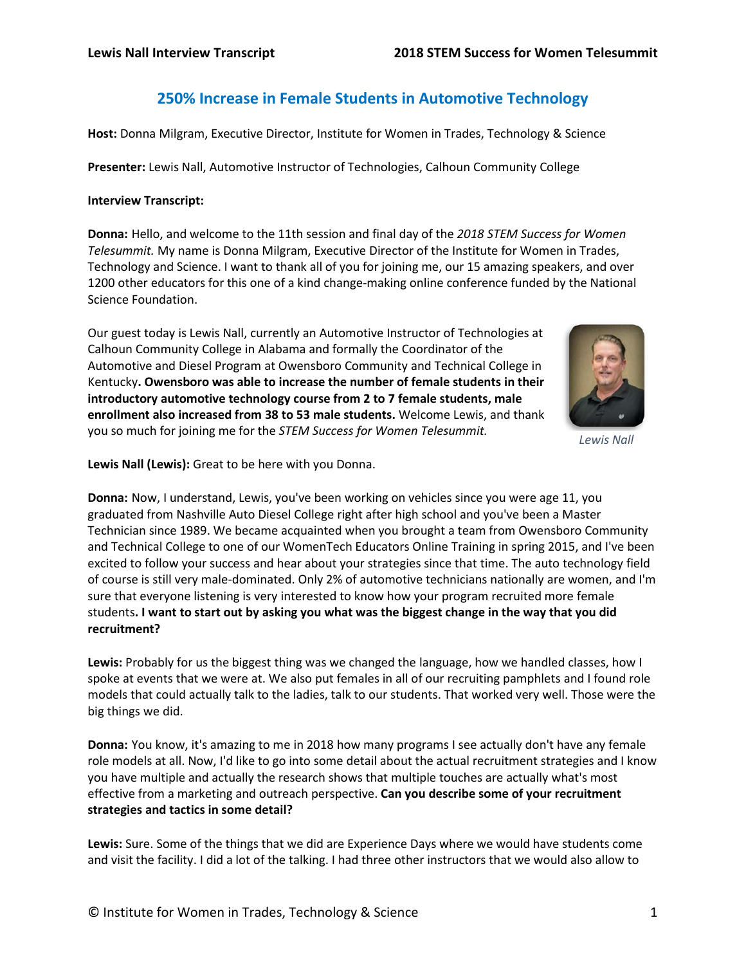# **250% Increase in Female Students in Automotive Technology**

**Host:** Donna Milgram, Executive Director, Institute for Women in Trades, Technology & Science

**Presenter:** Lewis Nall, Automotive Instructor of Technologies, Calhoun Community College

### **Interview Transcript:**

**Donna:** Hello, and welcome to the 11th session and final day of the *2018 STEM Success for Women Telesummit.* My name is Donna Milgram, Executive Director of the Institute for Women in Trades, Technology and Science. I want to thank all of you for joining me, our 15 amazing speakers, and over 1200 other educators for this one of a kind change-making online conference funded by the National Science Foundation.

Our guest today is Lewis Nall, currently an Automotive Instructor of Technologies at Calhoun Community College in Alabama and formally the Coordinator of the Automotive and Diesel Program at Owensboro Community and Technical College in Kentucky**. Owensboro was able to increase the number of female students in their introductory automotive technology course from 2 to 7 female students, male enrollment also increased from 38 to 53 male students.** Welcome Lewis, and thank you so much for joining me for the *STEM Success for Women Telesummit.*



*Lewis Nall*

**Lewis Nall (Lewis):** Great to be here with you Donna.

**Donna:** Now, I understand, Lewis, you've been working on vehicles since you were age 11, you graduated from Nashville Auto Diesel College right after high school and you've been a Master Technician since 1989. We became acquainted when you brought a team from Owensboro Community and Technical College to one of our WomenTech Educators Online Training in spring 2015, and I've been excited to follow your success and hear about your strategies since that time. The auto technology field of course is still very male-dominated. Only 2% of automotive technicians nationally are women, and I'm sure that everyone listening is very interested to know how your program recruited more female students**. I want to start out by asking you what was the biggest change in the way that you did recruitment?**

**Lewis:** Probably for us the biggest thing was we changed the language, how we handled classes, how I spoke at events that we were at. We also put females in all of our recruiting pamphlets and I found role models that could actually talk to the ladies, talk to our students. That worked very well. Those were the big things we did.

**Donna:** You know, it's amazing to me in 2018 how many programs I see actually don't have any female role models at all. Now, I'd like to go into some detail about the actual recruitment strategies and I know you have multiple and actually the research shows that multiple touches are actually what's most effective from a marketing and outreach perspective. **Can you describe some of your recruitment strategies and tactics in some detail?**

**Lewis:** Sure. Some of the things that we did are Experience Days where we would have students come and visit the facility. I did a lot of the talking. I had three other instructors that we would also allow to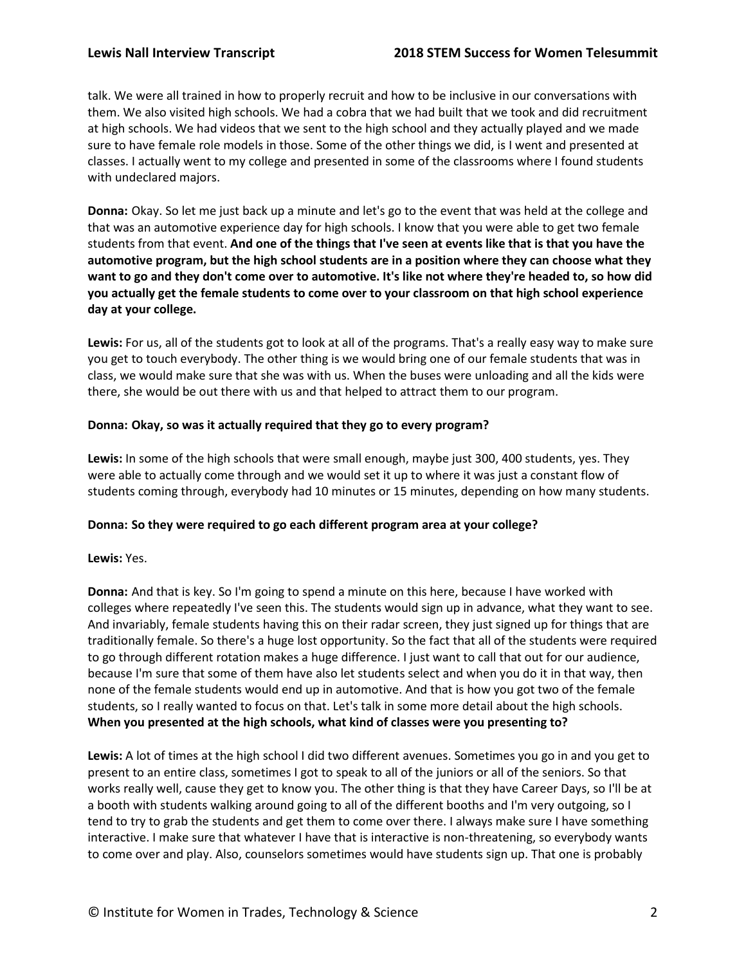talk. We were all trained in how to properly recruit and how to be inclusive in our conversations with them. We also visited high schools. We had a cobra that we had built that we took and did recruitment at high schools. We had videos that we sent to the high school and they actually played and we made sure to have female role models in those. Some of the other things we did, is I went and presented at classes. I actually went to my college and presented in some of the classrooms where I found students with undeclared majors.

**Donna:** Okay. So let me just back up a minute and let's go to the event that was held at the college and that was an automotive experience day for high schools. I know that you were able to get two female students from that event. **And one of the things that I've seen at events like that is that you have the automotive program, but the high school students are in a position where they can choose what they want to go and they don't come over to automotive. It's like not where they're headed to, so how did you actually get the female students to come over to your classroom on that high school experience day at your college.**

**Lewis:** For us, all of the students got to look at all of the programs. That's a really easy way to make sure you get to touch everybody. The other thing is we would bring one of our female students that was in class, we would make sure that she was with us. When the buses were unloading and all the kids were there, she would be out there with us and that helped to attract them to our program.

### **Donna: Okay, so was it actually required that they go to every program?**

**Lewis:** In some of the high schools that were small enough, maybe just 300, 400 students, yes. They were able to actually come through and we would set it up to where it was just a constant flow of students coming through, everybody had 10 minutes or 15 minutes, depending on how many students.

### **Donna: So they were required to go each different program area at your college?**

### **Lewis:** Yes.

**Donna:** And that is key. So I'm going to spend a minute on this here, because I have worked with colleges where repeatedly I've seen this. The students would sign up in advance, what they want to see. And invariably, female students having this on their radar screen, they just signed up for things that are traditionally female. So there's a huge lost opportunity. So the fact that all of the students were required to go through different rotation makes a huge difference. I just want to call that out for our audience, because I'm sure that some of them have also let students select and when you do it in that way, then none of the female students would end up in automotive. And that is how you got two of the female students, so I really wanted to focus on that. Let's talk in some more detail about the high schools. **When you presented at the high schools, what kind of classes were you presenting to?**

**Lewis:** A lot of times at the high school I did two different avenues. Sometimes you go in and you get to present to an entire class, sometimes I got to speak to all of the juniors or all of the seniors. So that works really well, cause they get to know you. The other thing is that they have Career Days, so I'll be at a booth with students walking around going to all of the different booths and I'm very outgoing, so I tend to try to grab the students and get them to come over there. I always make sure I have something interactive. I make sure that whatever I have that is interactive is non-threatening, so everybody wants to come over and play. Also, counselors sometimes would have students sign up. That one is probably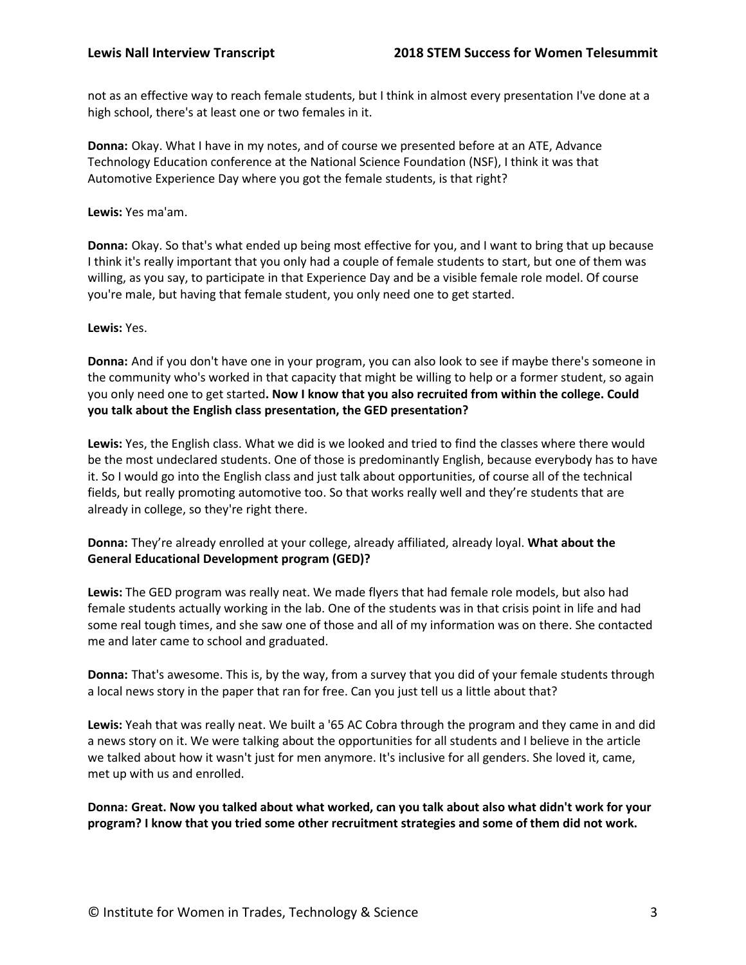not as an effective way to reach female students, but I think in almost every presentation I've done at a high school, there's at least one or two females in it.

**Donna:** Okay. What I have in my notes, and of course we presented before at an ATE, Advance Technology Education conference at the National Science Foundation (NSF), I think it was that Automotive Experience Day where you got the female students, is that right?

**Lewis:** Yes ma'am.

**Donna:** Okay. So that's what ended up being most effective for you, and I want to bring that up because I think it's really important that you only had a couple of female students to start, but one of them was willing, as you say, to participate in that Experience Day and be a visible female role model. Of course you're male, but having that female student, you only need one to get started.

**Lewis:** Yes.

**Donna:** And if you don't have one in your program, you can also look to see if maybe there's someone in the community who's worked in that capacity that might be willing to help or a former student, so again you only need one to get started**. Now I know that you also recruited from within the college. Could you talk about the English class presentation, the GED presentation?**

**Lewis:** Yes, the English class. What we did is we looked and tried to find the classes where there would be the most undeclared students. One of those is predominantly English, because everybody has to have it. So I would go into the English class and just talk about opportunities, of course all of the technical fields, but really promoting automotive too. So that works really well and they're students that are already in college, so they're right there.

**Donna:** They're already enrolled at your college, already affiliated, already loyal. **What about the General Educational Development program (GED)?**

**Lewis:** The GED program was really neat. We made flyers that had female role models, but also had female students actually working in the lab. One of the students was in that crisis point in life and had some real tough times, and she saw one of those and all of my information was on there. She contacted me and later came to school and graduated.

**Donna:** That's awesome. This is, by the way, from a survey that you did of your female students through a local news story in the paper that ran for free. Can you just tell us a little about that?

**Lewis:** Yeah that was really neat. We built a '65 AC Cobra through the program and they came in and did a news story on it. We were talking about the opportunities for all students and I believe in the article we talked about how it wasn't just for men anymore. It's inclusive for all genders. She loved it, came, met up with us and enrolled.

**Donna: Great. Now you talked about what worked, can you talk about also what didn't work for your program? I know that you tried some other recruitment strategies and some of them did not work.**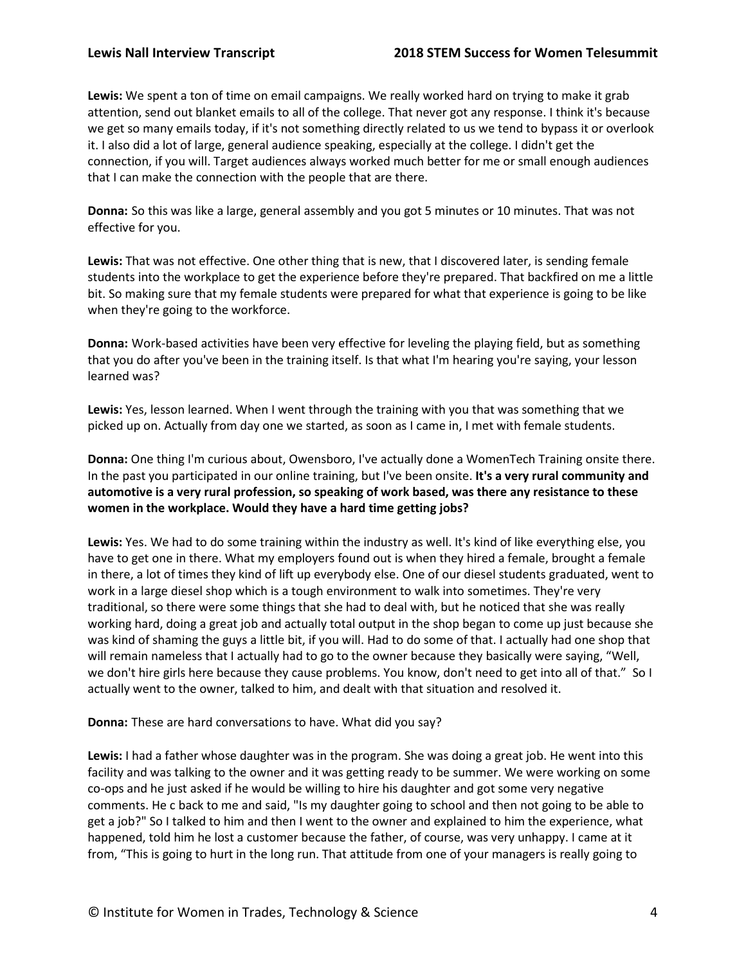**Lewis:** We spent a ton of time on email campaigns. We really worked hard on trying to make it grab attention, send out blanket emails to all of the college. That never got any response. I think it's because we get so many emails today, if it's not something directly related to us we tend to bypass it or overlook it. I also did a lot of large, general audience speaking, especially at the college. I didn't get the connection, if you will. Target audiences always worked much better for me or small enough audiences that I can make the connection with the people that are there.

**Donna:** So this was like a large, general assembly and you got 5 minutes or 10 minutes. That was not effective for you.

**Lewis:** That was not effective. One other thing that is new, that I discovered later, is sending female students into the workplace to get the experience before they're prepared. That backfired on me a little bit. So making sure that my female students were prepared for what that experience is going to be like when they're going to the workforce.

**Donna:** Work-based activities have been very effective for leveling the playing field, but as something that you do after you've been in the training itself. Is that what I'm hearing you're saying, your lesson learned was?

**Lewis:** Yes, lesson learned. When I went through the training with you that was something that we picked up on. Actually from day one we started, as soon as I came in, I met with female students.

**Donna:** One thing I'm curious about, Owensboro, I've actually done a WomenTech Training onsite there. In the past you participated in our online training, but I've been onsite. **It's a very rural community and automotive is a very rural profession, so speaking of work based, was there any resistance to these women in the workplace. Would they have a hard time getting jobs?**

**Lewis:** Yes. We had to do some training within the industry as well. It's kind of like everything else, you have to get one in there. What my employers found out is when they hired a female, brought a female in there, a lot of times they kind of lift up everybody else. One of our diesel students graduated, went to work in a large diesel shop which is a tough environment to walk into sometimes. They're very traditional, so there were some things that she had to deal with, but he noticed that she was really working hard, doing a great job and actually total output in the shop began to come up just because she was kind of shaming the guys a little bit, if you will. Had to do some of that. I actually had one shop that will remain nameless that I actually had to go to the owner because they basically were saying, "Well, we don't hire girls here because they cause problems. You know, don't need to get into all of that." So I actually went to the owner, talked to him, and dealt with that situation and resolved it.

**Donna:** These are hard conversations to have. What did you say?

**Lewis:** I had a father whose daughter was in the program. She was doing a great job. He went into this facility and was talking to the owner and it was getting ready to be summer. We were working on some co-ops and he just asked if he would be willing to hire his daughter and got some very negative comments. He c back to me and said, "Is my daughter going to school and then not going to be able to get a job?" So I talked to him and then I went to the owner and explained to him the experience, what happened, told him he lost a customer because the father, of course, was very unhappy. I came at it from, "This is going to hurt in the long run. That attitude from one of your managers is really going to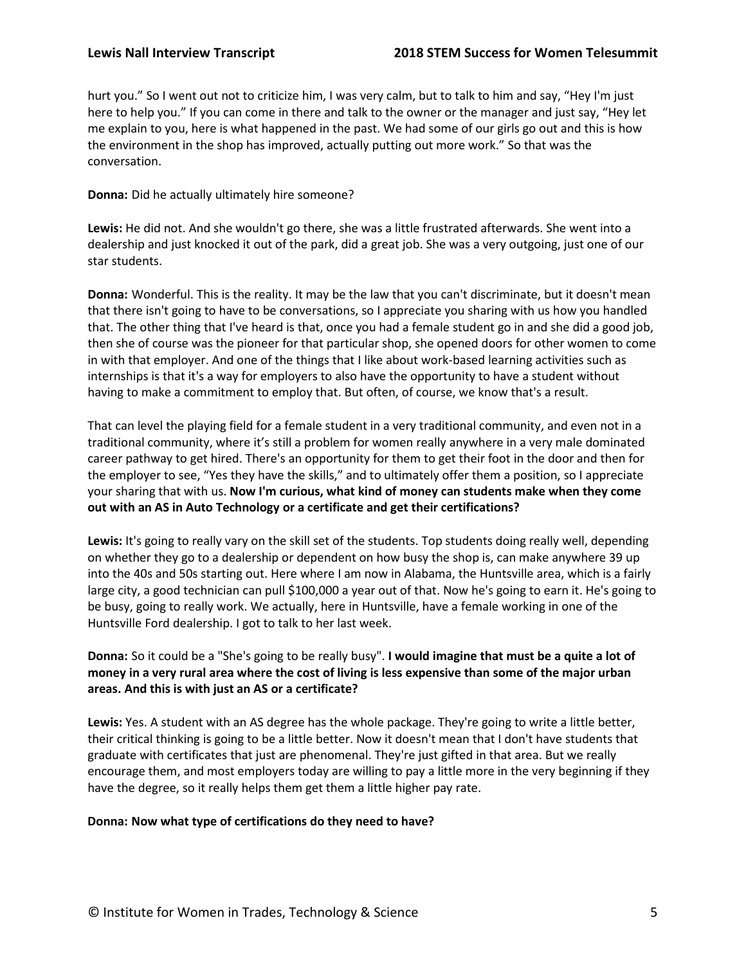hurt you." So I went out not to criticize him, I was very calm, but to talk to him and say, "Hey I'm just here to help you." If you can come in there and talk to the owner or the manager and just say, "Hey let me explain to you, here is what happened in the past. We had some of our girls go out and this is how the environment in the shop has improved, actually putting out more work." So that was the conversation.

### **Donna:** Did he actually ultimately hire someone?

**Lewis:** He did not. And she wouldn't go there, she was a little frustrated afterwards. She went into a dealership and just knocked it out of the park, did a great job. She was a very outgoing, just one of our star students.

**Donna:** Wonderful. This is the reality. It may be the law that you can't discriminate, but it doesn't mean that there isn't going to have to be conversations, so I appreciate you sharing with us how you handled that. The other thing that I've heard is that, once you had a female student go in and she did a good job, then she of course was the pioneer for that particular shop, she opened doors for other women to come in with that employer. And one of the things that I like about work-based learning activities such as internships is that it's a way for employers to also have the opportunity to have a student without having to make a commitment to employ that. But often, of course, we know that's a result.

That can level the playing field for a female student in a very traditional community, and even not in a traditional community, where it's still a problem for women really anywhere in a very male dominated career pathway to get hired. There's an opportunity for them to get their foot in the door and then for the employer to see, "Yes they have the skills," and to ultimately offer them a position, so I appreciate your sharing that with us. **Now I'm curious, what kind of money can students make when they come out with an AS in Auto Technology or a certificate and get their certifications?**

**Lewis:** It's going to really vary on the skill set of the students. Top students doing really well, depending on whether they go to a dealership or dependent on how busy the shop is, can make anywhere 39 up into the 40s and 50s starting out. Here where I am now in Alabama, the Huntsville area, which is a fairly large city, a good technician can pull \$100,000 a year out of that. Now he's going to earn it. He's going to be busy, going to really work. We actually, here in Huntsville, have a female working in one of the Huntsville Ford dealership. I got to talk to her last week.

**Donna:** So it could be a "She's going to be really busy". **I would imagine that must be a quite a lot of money in a very rural area where the cost of living is less expensive than some of the major urban areas. And this is with just an AS or a certificate?**

**Lewis:** Yes. A student with an AS degree has the whole package. They're going to write a little better, their critical thinking is going to be a little better. Now it doesn't mean that I don't have students that graduate with certificates that just are phenomenal. They're just gifted in that area. But we really encourage them, and most employers today are willing to pay a little more in the very beginning if they have the degree, so it really helps them get them a little higher pay rate.

# **Donna: Now what type of certifications do they need to have?**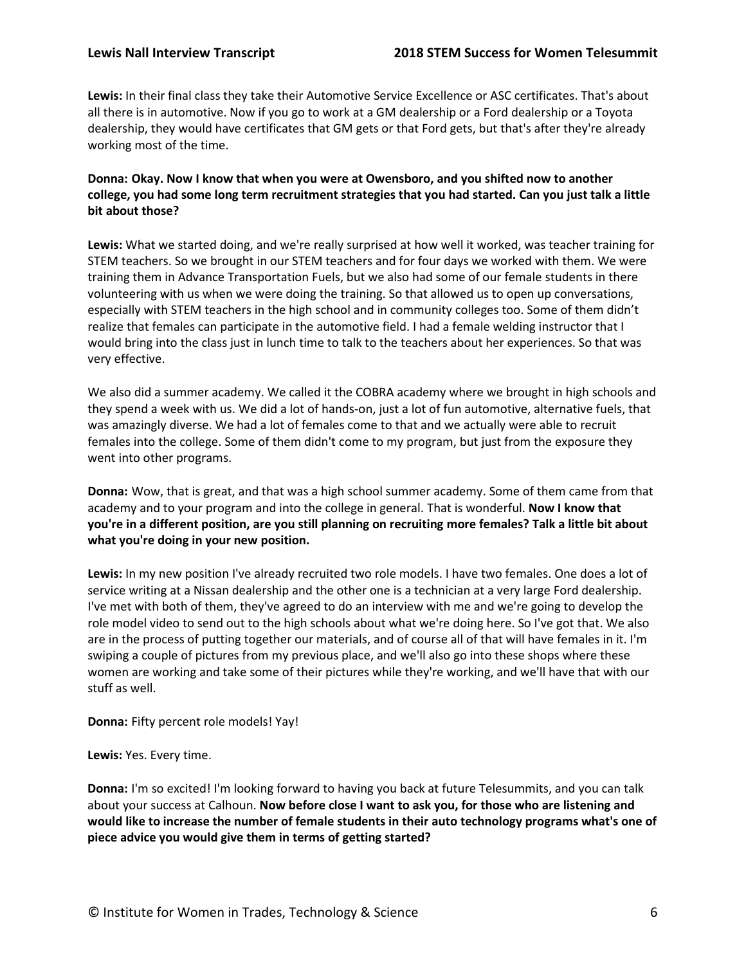**Lewis:** In their final class they take their Automotive Service Excellence or ASC certificates. That's about all there is in automotive. Now if you go to work at a GM dealership or a Ford dealership or a Toyota dealership, they would have certificates that GM gets or that Ford gets, but that's after they're already working most of the time.

# **Donna: Okay. Now I know that when you were at Owensboro, and you shifted now to another college, you had some long term recruitment strategies that you had started. Can you just talk a little bit about those?**

**Lewis:** What we started doing, and we're really surprised at how well it worked, was teacher training for STEM teachers. So we brought in our STEM teachers and for four days we worked with them. We were training them in Advance Transportation Fuels, but we also had some of our female students in there volunteering with us when we were doing the training. So that allowed us to open up conversations, especially with STEM teachers in the high school and in community colleges too. Some of them didn't realize that females can participate in the automotive field. I had a female welding instructor that I would bring into the class just in lunch time to talk to the teachers about her experiences. So that was very effective.

We also did a summer academy. We called it the COBRA academy where we brought in high schools and they spend a week with us. We did a lot of hands-on, just a lot of fun automotive, alternative fuels, that was amazingly diverse. We had a lot of females come to that and we actually were able to recruit females into the college. Some of them didn't come to my program, but just from the exposure they went into other programs.

**Donna:** Wow, that is great, and that was a high school summer academy. Some of them came from that academy and to your program and into the college in general. That is wonderful. **Now I know that you're in a different position, are you still planning on recruiting more females? Talk a little bit about what you're doing in your new position.**

**Lewis:** In my new position I've already recruited two role models. I have two females. One does a lot of service writing at a Nissan dealership and the other one is a technician at a very large Ford dealership. I've met with both of them, they've agreed to do an interview with me and we're going to develop the role model video to send out to the high schools about what we're doing here. So I've got that. We also are in the process of putting together our materials, and of course all of that will have females in it. I'm swiping a couple of pictures from my previous place, and we'll also go into these shops where these women are working and take some of their pictures while they're working, and we'll have that with our stuff as well.

**Donna:** Fifty percent role models! Yay!

**Lewis:** Yes. Every time.

**Donna:** I'm so excited! I'm looking forward to having you back at future Telesummits, and you can talk about your success at Calhoun. **Now before close I want to ask you, for those who are listening and would like to increase the number of female students in their auto technology programs what's one of piece advice you would give them in terms of getting started?**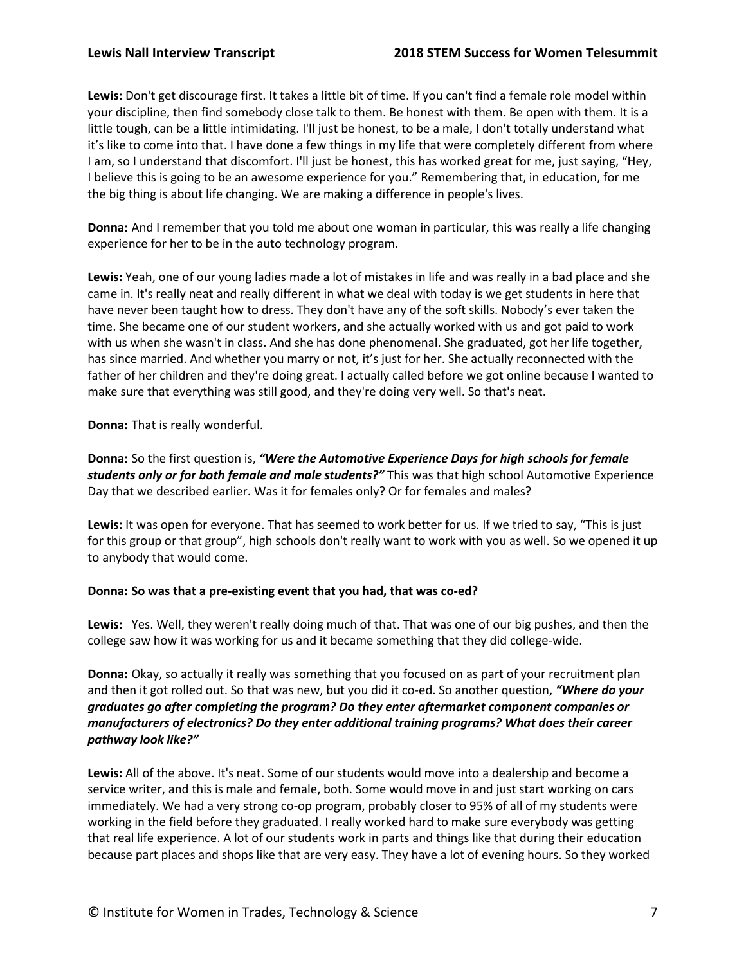**Lewis:** Don't get discourage first. It takes a little bit of time. If you can't find a female role model within your discipline, then find somebody close talk to them. Be honest with them. Be open with them. It is a little tough, can be a little intimidating. I'll just be honest, to be a male, I don't totally understand what it's like to come into that. I have done a few things in my life that were completely different from where I am, so I understand that discomfort. I'll just be honest, this has worked great for me, just saying, "Hey, I believe this is going to be an awesome experience for you." Remembering that, in education, for me the big thing is about life changing. We are making a difference in people's lives.

**Donna:** And I remember that you told me about one woman in particular, this was really a life changing experience for her to be in the auto technology program.

**Lewis:** Yeah, one of our young ladies made a lot of mistakes in life and was really in a bad place and she came in. It's really neat and really different in what we deal with today is we get students in here that have never been taught how to dress. They don't have any of the soft skills. Nobody's ever taken the time. She became one of our student workers, and she actually worked with us and got paid to work with us when she wasn't in class. And she has done phenomenal. She graduated, got her life together, has since married. And whether you marry or not, it's just for her. She actually reconnected with the father of her children and they're doing great. I actually called before we got online because I wanted to make sure that everything was still good, and they're doing very well. So that's neat.

**Donna:** That is really wonderful.

**Donna:** So the first question is, *"Were the Automotive Experience Days for high schools for female students only or for both female and male students?"* This was that high school Automotive Experience Day that we described earlier. Was it for females only? Or for females and males?

**Lewis:** It was open for everyone. That has seemed to work better for us. If we tried to say, "This is just for this group or that group", high schools don't really want to work with you as well. So we opened it up to anybody that would come.

# **Donna: So was that a pre-existing event that you had, that was co-ed?**

**Lewis:** Yes. Well, they weren't really doing much of that. That was one of our big pushes, and then the college saw how it was working for us and it became something that they did college-wide.

**Donna:** Okay, so actually it really was something that you focused on as part of your recruitment plan and then it got rolled out. So that was new, but you did it co-ed. So another question, *"Where do your graduates go after completing the program? Do they enter aftermarket component companies or manufacturers of electronics? Do they enter additional training programs? What does their career pathway look like?"*

**Lewis:** All of the above. It's neat. Some of our students would move into a dealership and become a service writer, and this is male and female, both. Some would move in and just start working on cars immediately. We had a very strong co-op program, probably closer to 95% of all of my students were working in the field before they graduated. I really worked hard to make sure everybody was getting that real life experience. A lot of our students work in parts and things like that during their education because part places and shops like that are very easy. They have a lot of evening hours. So they worked